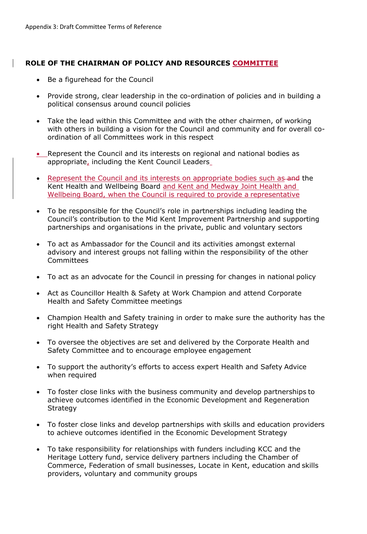## **ROLE OF THE CHAIRMAN OF POLICY AND RESOURCES COMMITTEE**

- Be a figurehead for the Council
- Provide strong, clear leadership in the co-ordination of policies and in building a political consensus around council policies
- Take the lead within this Committee and with the other chairmen, of working with others in building a vision for the Council and community and for overall coordination of all Committees work in this respect
- Represent the Council and its interests on regional and national bodies as appropriate, including the Kent Council Leaders
- Represent the Council and its interests on appropriate bodies such as-and the Kent Health and Wellbeing Board and Kent and Medway Joint Health and Wellbeing Board, when the Council is required to provide a representative
- To be responsible for the Council's role in partnerships including leading the Council's contribution to the Mid Kent Improvement Partnership and supporting partnerships and organisations in the private, public and voluntary sectors
- To act as Ambassador for the Council and its activities amongst external advisory and interest groups not falling within the responsibility of the other Committees
- To act as an advocate for the Council in pressing for changes in national policy
- Act as Councillor Health & Safety at Work Champion and attend Corporate Health and Safety Committee meetings
- Champion Health and Safety training in order to make sure the authority has the right Health and Safety Strategy
- To oversee the objectives are set and delivered by the Corporate Health and Safety Committee and to encourage employee engagement
- To support the authority's efforts to access expert Health and Safety Advice when required
- To foster close links with the business community and develop partnerships to achieve outcomes identified in the Economic Development and Regeneration Strategy
- To foster close links and develop partnerships with skills and education providers to achieve outcomes identified in the Economic Development Strategy
- To take responsibility for relationships with funders including KCC and the Heritage Lottery fund, service delivery partners including the Chamber of Commerce, Federation of small businesses, Locate in Kent, education and skills providers, voluntary and community groups